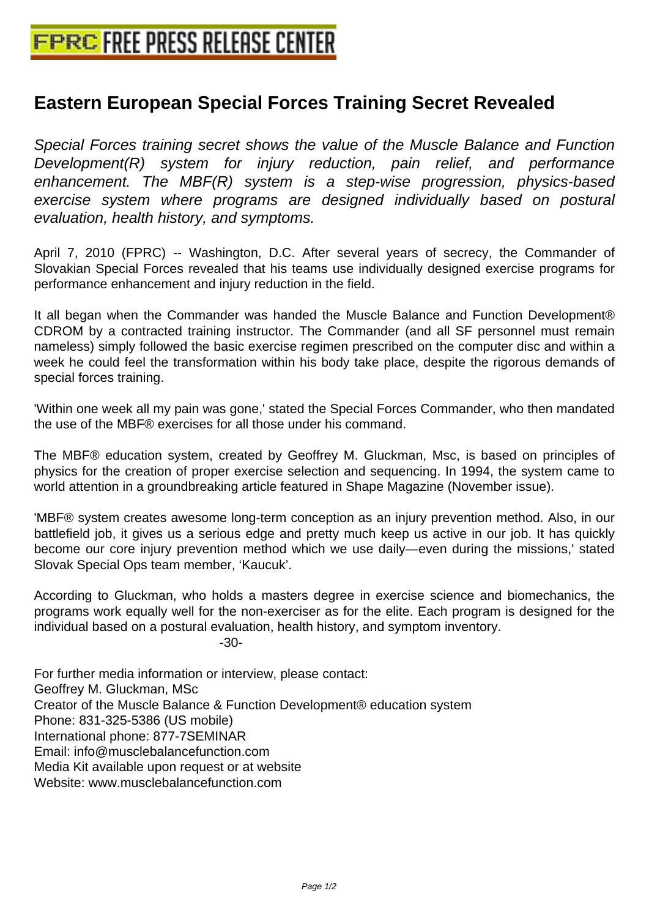## **[Eastern European Special Forces T](http://www.free-press-release-center.info)raining Secret Revealed**

Special Forces training secret shows the value of the Muscle Balance and Function Development(R) system for injury reduction, pain relief, and performance enhancement. The MBF(R) system is a step-wise progression, physics-based exercise system where programs are designed individually based on postural evaluation, health history, and symptoms.

April 7, 2010 (FPRC) -- Washington, D.C. After several years of secrecy, the Commander of Slovakian Special Forces revealed that his teams use individually designed exercise programs for performance enhancement and injury reduction in the field.

It all began when the Commander was handed the Muscle Balance and Function Development® CDROM by a contracted training instructor. The Commander (and all SF personnel must remain nameless) simply followed the basic exercise regimen prescribed on the computer disc and within a week he could feel the transformation within his body take place, despite the rigorous demands of special forces training.

'Within one week all my pain was gone,' stated the Special Forces Commander, who then mandated the use of the MBF® exercises for all those under his command.

The MBF® education system, created by Geoffrey M. Gluckman, Msc, is based on principles of physics for the creation of proper exercise selection and sequencing. In 1994, the system came to world attention in a groundbreaking article featured in Shape Magazine (November issue).

'MBF® system creates awesome long-term conception as an injury prevention method. Also, in our battlefield job, it gives us a serious edge and pretty much keep us active in our job. It has quickly become our core injury prevention method which we use daily—even during the missions,' stated Slovak Special Ops team member, 'Kaucuk'.

According to Gluckman, who holds a masters degree in exercise science and biomechanics, the programs work equally well for the non-exerciser as for the elite. Each program is designed for the individual based on a postural evaluation, health history, and symptom inventory. -30-

For further media information or interview, please contact: Geoffrey M. Gluckman, MSc Creator of the Muscle Balance & Function Development® education system Phone: 831-325-5386 (US mobile) International phone: 877-7SEMINAR Email: info@musclebalancefunction.com Media Kit available upon request or at website Website: www.musclebalancefunction.com